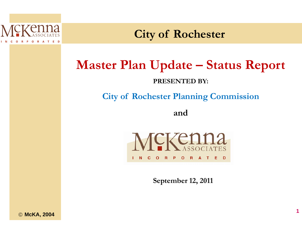

**City y of Rochester**

# **Master Plan U Update – Status Report**

### **PRESENTED BY:**

**City of Rochester Planning Commission** 

**and**



**September 12, 2011**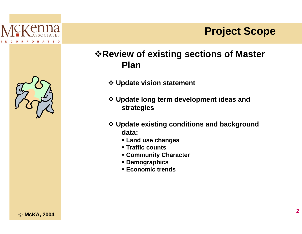



## **\*Review of existing sections of Master Plan**

- ❖ Update vision statement
- ❖ Update long term development ideas and **strategies**
- ❖ Update existing conditions and background data:
	- Land use changes
	- **Traffic counts**
	- **Community Character**
	- **Demographics**
	- **Economic trends**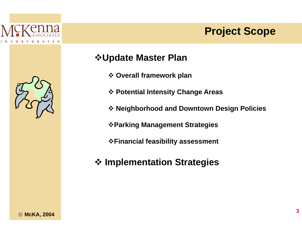

## **Project Scope**



## **☆Update Master Plan**

- ❖ Overall framework plan
- ❖ Potential Intensity Change Areas
- \* Neighborhood and Downtown Design Policies
- ❖ Parking Management Strategies
- **\*Financial feasibility assessment**
- ❖ Implementation Strategies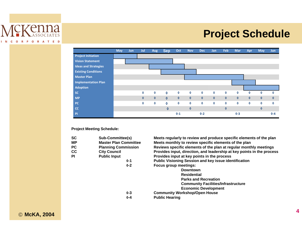

## **Project Schedule**



**Project Meeting Schedule:**

**CC City Council**

| SC | <b>Sub-Committee(s)</b>      | Meets regularly to review and produce specific elements of the plan    |
|----|------------------------------|------------------------------------------------------------------------|
| MР | <b>Master Plan Committee</b> | Meets monthly to review specific elements of the plan                  |
| PС | <b>Planning Commission</b>   | Reviews specific elements of the plan at regular monthly meetings      |
| СC | <b>City Council</b>          | Provides input, direction, and leadership at key points in the process |
| ΡI | <b>Public Input</b>          | Provides input at key points in the process                            |
|    | $0 - 1$                      | <b>Public Visioning Session and key issue identification</b>           |
|    | $0 - 2$                      | Focus group meetings:                                                  |
|    |                              | <b>Downtown</b>                                                        |
|    |                              | <b>Residential</b>                                                     |
|    |                              | <b>Parks and Recreation</b>                                            |
|    |                              | <b>Community Facilities/Infrastructure</b>                             |
|    |                              | <b>Economic Development</b>                                            |
|    | $0 - 3$                      | <b>Community Workshop/Open House</b>                                   |
|    | $0 - 4$                      | <b>Public Hearing</b>                                                  |
|    |                              |                                                                        |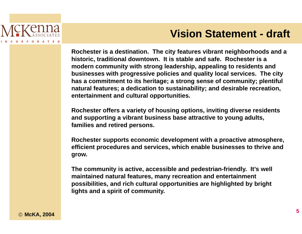

**Rochester is a destination. The city features vibrant neighborhoods and a historic, traditional downtow wn. It is stable and safe. Rochester is a modern community with str rong leadership, appealing to residents and**  businesses with progressive policies and quality local services. The city **has a commitment to its her ritage; a strong sense of community; plentiful**  natural features; a dedication to sustainability; and desirable recreation, **entertainment and cultural o opportunities. Vision Statement - draft**<br>
nester is a destination. The city features vibrant neighborhoods and a<br>
pern community with strong leadership, appealing to residents a<br>
nern community with strong leadership, appealing to resid

Rochester offers a variety of housing options, inviting diverse residents **and supporting a vibrant bu usiness base attractive to young adults, families and retired persons s.**

**Rochester supports econom mic development with a proactive atmosphere, efficient procedures and se rvices, which enable businesses to thrive and grow.**

**The community is active, ac ccessible and pedestrian-friendly. It's well maintained natural features , many recreation and entertainment possibilities, and rich cultur ral opportunities are highlighted by bright**  lights and a spirit of community.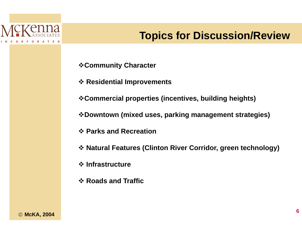## **Topics for Discussion/Review**

**∻Community Character** 

❖ Residential Improvements

\*Commercial properties (incentives, building heights)

\*Downtown (mixed uses, parking management strategies)

❖ Parks and Recreation

\* Natural Features (Clinton River Corridor, green technology)

❖ Infrastructure

❖ Roads and Traffic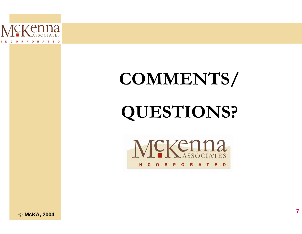

# COMMENTS/ QUESTIONS?



© McKA, 2004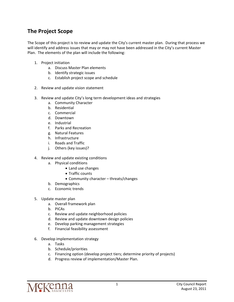### **The Project Scope**

The Scope of this project is to review and update the City's current master plan. During that process we will identify and address issues that may or may not have been addressed in the City's current Master Plan. The elements of the plan will include the following:

- 1. Project initiation
	- a. Discuss Master Plan elements
	- b. Identify strategic issues
	- c. Establish project scope and schedule
- 2. Review and update vision statement
- 3. Review and update City's long term development ideas and strategies
	- a. Community Character
	- b. Residential
	- c. Commercial
	- d. Downtown
	- e. Industrial
	- f. Parks and Recreation
	- g. Natural Features
	- h. Infrastructure
	- i. Roads and Traffic
	- j. Others (key issues)?
- 4. Review and update existing conditions
	- a. Physical conditions
		- Land use changes
		- Traffic counts
		- Community character threats/changes
	- b. Demographics
	- c. Economic trends
- 5. Update master plan
	- a. Overall framework plan
	- b. PICAs
	- c. Review and update neighborhood policies
	- d. Review and update downtown design policies
	- e. Develop parking management strategies
	- f. Financial feasibility assessment
- 6. Develop implementation strategy
	- a. Tasks
	- b. Schedule/priorities
	- c. Financing option (develop project tiers; determine priority of projects)
	- d. Progress review of implementation/Master Plan.

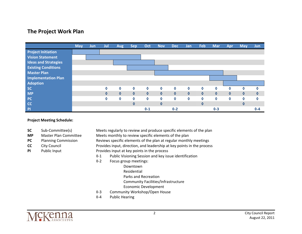#### **The Project Work Plan**



#### **Project Meeting Schedule:**

- **SC**
- **MP**
- **PC**
- **CC**
- **PI**Public Input
- Sub-Committee(s) Meets regularly to review and produce specific elements of the plan Master Plan Committee Meets monthly to review specific elements of the plan Planning Commission Reviews specific elements of the plan at regular monthly meetings City Council **Exercise 2** Provides input, direction, and leadership at key points in the process Provides input at key points in the process
	- ◊‐1 Public Visioning Session and key issue identification
	- ◊‐2 Focus group meetings:
		- Downtown
			- Residential
		- Parks and Recreation
		- Community Facilities/Infrastructure
		- Economic Development
	- ◊‐3 Community Workshop/Open House
	- ◊‐4 Public Hearing



2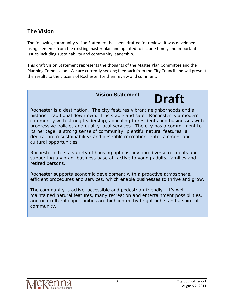#### **The Vision**

The following community Vision Statement has been drafted for review. It was developed using elements from the existing master plan and updated to include timely and important issues including sustainability and community leadership.

This draft Vision Statement represents the thoughts of the Master Plan Committee and the Planning Commission. We are currently seeking feedback from the City Council and will present the results to the citizens of Rochester for their review and comment.

#### **Vision Statement**

## **Draft**

Rochester is a destination. The city features vibrant neighborhoods and a historic, traditional downtown. It is stable and safe. Rochester is a modern community with strong leadership, appealing to residents and businesses with progressive policies and quality local services. The city has a commitment to its heritage; a strong sense of community; plentiful natural features; a dedication to sustainability; and desirable recreation, entertainment and cultural opportunities.

Rochester offers a variety of housing options, inviting diverse residents and supporting a vibrant business base attractive to young adults, families and retired persons.

Rochester supports economic development with a proactive atmosphere, efficient procedures and services, which enable businesses to thrive and grow.

The community is active, accessible and pedestrian-friendly. It's well maintained natural features, many recreation and entertainment possibilities, and rich cultural opportunities are highlighted by bright lights and a spirit of community.

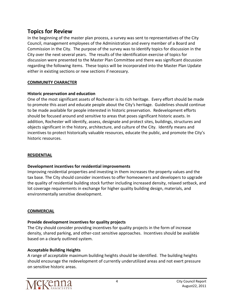#### **Topics for Review**

In the beginning of the master plan process, a survey was sent to representatives of the City Council, management employees of the Administration and every member of a Board and Commission in the City. The purpose of the survey was to identify topics for discussion in the City over the next several years. The results of the identification exercise of topics for discussion were presented to the Master Plan Committee and there was significant discussion regarding the following items. These topics will be incorporated into the Master Plan Update either in existing sections or new sections if necessary.

#### **COMMUNITY CHARACTER**

#### **Historic preservation and education**

One of the most significant assets of Rochester is its rich heritage. Every effort should be made to promote this asset and educate people about the City's heritage. Guidelines should continue to be made available for people interested in historic preservation. Redevelopment efforts should be focused around and sensitive to areas that poses significant historic assets. In addition, Rochester will identify, assess, designate and protect sites, buildings, structures and objects significant in the history, architecture, and culture of the City. Identify means and incentives to protect historically valuable resources, educate the public, and promote the City's historic resources.

#### **RESIDENTIAL**

#### **Development incentives for residential improvements**

Improving residential properties and investing in them increases the property values and the tax base. The City should consider incentives to offer homeowners and developers to upgrade the quality of residential building stock further including increased density, relaxed setback, and lot coverage requirements in exchange for higher quality building design, materials, and environmentally sensitive development.

#### **COMMERCIAL**

#### **Provide development incentives for quality projects**

The City should consider providing incentives for quality projects in the form of increase density, shared parking, and other‐cost sensitive approaches. Incentives should be available based on a clearly outlined system.

#### **Acceptable Building Heights**

A range of acceptable maximum building heights should be identified. The building heights should encourage the redevelopment of currently underutilized areas and not exert pressure on sensitive historic areas.

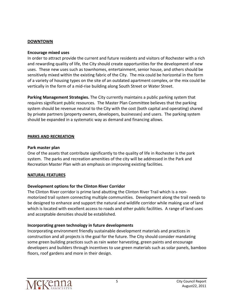#### **DOWNTOWN**

#### **Encourage mixed uses**

In order to attract provide the current and future residents and visitors of Rochester with a rich and rewarding quality of life, the City should create opportunities for the development of new uses. These new uses such as townhomes, entertainment, senior house, and others should be sensitively mixed within the existing fabric of the City. The mix could be horizontal in the form of a variety of housing types on the site of an outdated apartment complex, or the mix could be vertically in the form of a mid‐rise building along South Street or Water Street.

**Parking Management Strategies.** The City currently maintains a public parking system that requires significant public resources. The Master Plan Committee believes that the parking system should be revenue neutral to the City with the cost (both capital and operating) shared by private partners (property owners, developers, businesses) and users. The parking system should be expanded in a systematic way as demand and financing allows.

#### **PARKS AND RECREATION**

#### **Park master plan**

One of the assets that contribute significantly to the quality of life in Rochester is the park system. The parks and recreation amenities of the city will be addressed in the Park and Recreation Master Plan with an emphasis on improving existing facilities.

#### **NATURAL FEATURES**

#### **Development options for the Clinton River Corridor**

The Clinton River corridor is prime land abutting the Clinton River Trail which is a non‐ motorized trail system connecting multiple communities. Development along the trail needs to be designed to enhance and support the natural and wildlife corridor while making use of land which is located with excellent access to roads and other public facilities. A range of land uses and acceptable densities should be established.

#### **Incorporating green technology in future developments**

Incorporating environment friendly sustainable development materials and practices in construction and all projects is the goal for the future. The City should consider mandating some green building practices such as rain water harvesting, green paints and encourage developers and builders through incentives to use green materials such as solar panels, bamboo floors, roof gardens and more in their design.